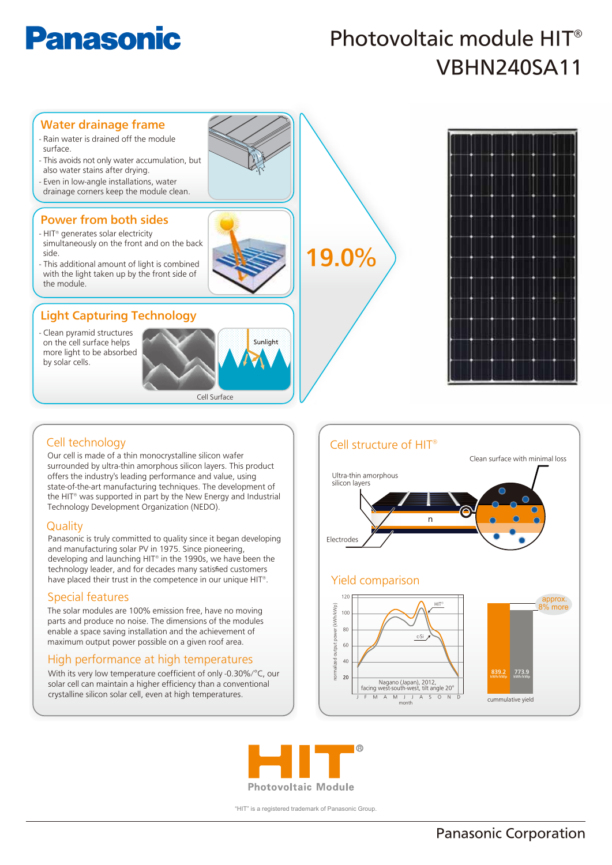# **Panasonic**

## Photovoltaic module HIT® VBHN240SA11



## Cell technology

Our cell is made of a thin monocrystalline silicon wafer surrounded by ultra-thin amorphous silicon layers. This product offers the industry's leading performance and value, using state-of-the-art manufacturing techniques. The development of the HIT® was supported in part by the New Energy and Industrial Technology Development Organization (NEDO).

#### **Quality**

Panasonic is truly committed to quality since it began developing and manufacturing solar PV in 1975. Since pioneering, developing and launching HIT® in the 1990s, we have been the technology leader, and for decades many satisfied customers have placed their trust in the competence in our unique HIT®.

#### Special features

The solar modules are 100% emission free, have no moving parts and produce no noise. The dimensions of the modules enable a space saving installation and the achievement of maximum output power possible on a given roof area.

### High performance at high temperatures

With its very low temperature coefficient of only -0.30%/°C, our solar cell can maintain a higher efficiency than a conventional crystalline silicon solar cell, even at high temperatures.





"HIT" is a registered trademark of Panasonic Group.